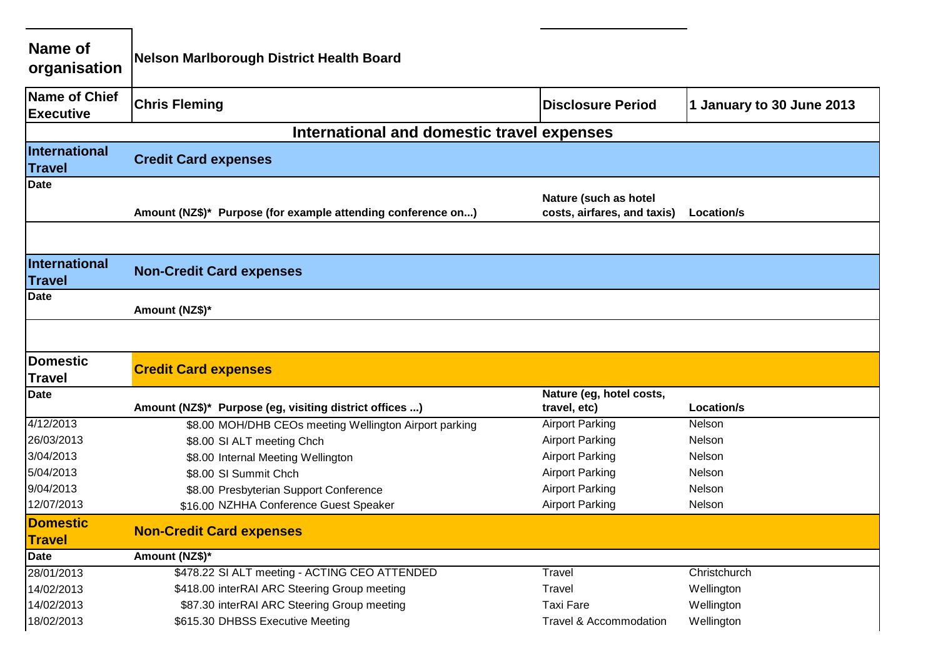| Name of<br>organisation                  | <b>Nelson Marlborough District Health Board</b>              |                                                      |                           |
|------------------------------------------|--------------------------------------------------------------|------------------------------------------------------|---------------------------|
| <b>Name of Chief</b><br><b>Executive</b> | <b>Chris Fleming</b>                                         | <b>Disclosure Period</b>                             | 1 January to 30 June 2013 |
|                                          | International and domestic travel expenses                   |                                                      |                           |
| International<br><b>Travel</b>           | <b>Credit Card expenses</b>                                  |                                                      |                           |
| <b>Date</b>                              | Amount (NZ\$)* Purpose (for example attending conference on) | Nature (such as hotel<br>costs, airfares, and taxis) | Location/s                |
| International<br><b>Travel</b>           | <b>Non-Credit Card expenses</b>                              |                                                      |                           |
| <b>Date</b>                              | Amount (NZ\$)*                                               |                                                      |                           |
| <b>Domestic</b>                          | <b>Credit Card expenses</b>                                  |                                                      |                           |
| <b>Travel</b>                            |                                                              |                                                      |                           |
| <b>Date</b>                              | Amount (NZ\$)* Purpose (eg, visiting district offices )      | Nature (eg, hotel costs,<br>travel, etc)             | Location/s                |
| 4/12/2013                                | \$8.00 MOH/DHB CEOs meeting Wellington Airport parking       | <b>Airport Parking</b>                               | Nelson                    |
| 26/03/2013                               | \$8.00 SI ALT meeting Chch                                   | <b>Airport Parking</b>                               | Nelson                    |
| 3/04/2013                                | \$8.00 Internal Meeting Wellington                           | <b>Airport Parking</b>                               | Nelson                    |
| 5/04/2013                                | \$8.00 SI Summit Chch                                        | <b>Airport Parking</b>                               | Nelson                    |
| 9/04/2013                                | \$8.00 Presbyterian Support Conference                       | <b>Airport Parking</b>                               | Nelson                    |
| 12/07/2013                               | \$16.00 NZHHA Conference Guest Speaker                       | <b>Airport Parking</b>                               | Nelson                    |
| <b>Domestic</b><br><b>Travel</b>         | <b>Non-Credit Card expenses</b>                              |                                                      |                           |
| <b>Date</b>                              | Amount (NZ\$)*                                               |                                                      |                           |
| 28/01/2013                               | \$478.22 SI ALT meeting - ACTING CEO ATTENDED                | Travel                                               | Christchurch              |
| 14/02/2013                               | \$418.00 interRAI ARC Steering Group meeting                 | Travel                                               | Wellington                |
| 14/02/2013                               | \$87.30 interRAI ARC Steering Group meeting                  | <b>Taxi Fare</b>                                     | Wellington                |
| 18/02/2013                               | \$615.30 DHBSS Executive Meeting                             | <b>Travel &amp; Accommodation</b>                    | Wellington                |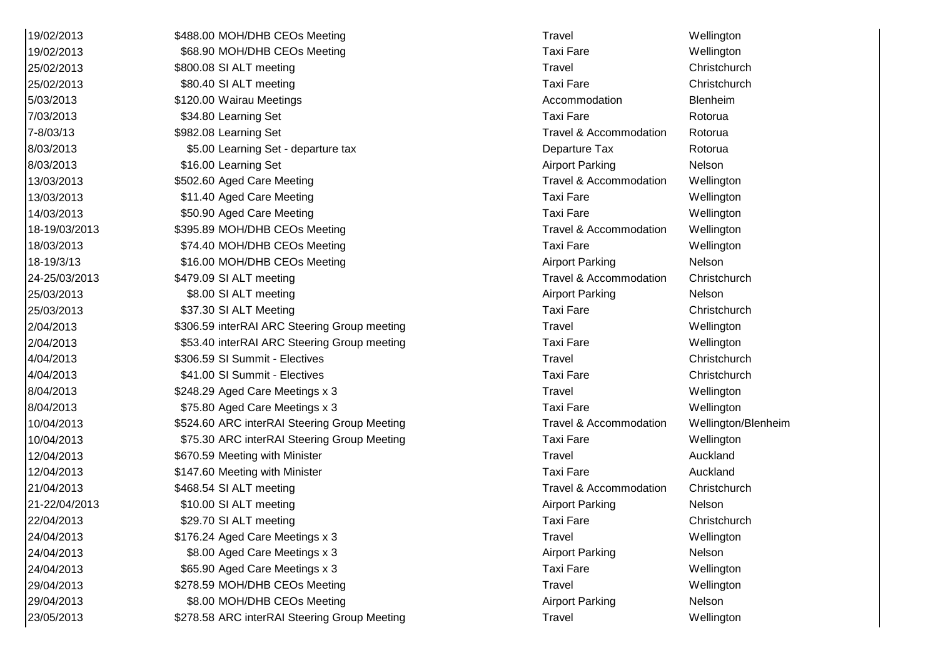| 19/02/2013    | \$488.00 MOH/DHB CEOs Meeting                | Travel                 | Wellington   |
|---------------|----------------------------------------------|------------------------|--------------|
| 19/02/2013    | \$68.90 MOH/DHB CEOs Meeting                 | <b>Taxi Fare</b>       | Wellington   |
| 25/02/2013    | \$800.08 SI ALT meeting                      | Travel                 | Christchurch |
| 25/02/2013    | \$80.40 SI ALT meeting                       | <b>Taxi Fare</b>       | Christchurch |
| 5/03/2013     | \$120.00 Wairau Meetings                     | Accommodation          | Blenheim     |
| 7/03/2013     | \$34.80 Learning Set                         | <b>Taxi Fare</b>       | Rotorua      |
| 7-8/03/13     | \$982.08 Learning Set                        | Travel & Accommodation | Rotorua      |
| 8/03/2013     | \$5.00 Learning Set - departure tax          | Departure Tax          | Rotorua      |
| 8/03/2013     | \$16.00 Learning Set                         | <b>Airport Parking</b> | Nelson       |
| 13/03/2013    | \$502.60 Aged Care Meeting                   | Travel & Accommodation | Wellington   |
| 13/03/2013    | \$11.40 Aged Care Meeting                    | <b>Taxi Fare</b>       | Wellington   |
| 14/03/2013    | \$50.90 Aged Care Meeting                    | <b>Taxi Fare</b>       | Wellington   |
| 18-19/03/2013 | \$395.89 MOH/DHB CEOs Meeting                | Travel & Accommodation | Wellington   |
| 18/03/2013    | \$74.40 MOH/DHB CEOs Meeting                 | <b>Taxi Fare</b>       | Wellington   |
| 18-19/3/13    | \$16.00 MOH/DHB CEOs Meeting                 | <b>Airport Parking</b> | Nelson       |
| 24-25/03/2013 | \$479.09 SI ALT meeting                      | Travel & Accommodation | Christchurch |
| 25/03/2013    | \$8.00 SI ALT meeting                        | <b>Airport Parking</b> | Nelson       |
| 25/03/2013    | \$37.30 SI ALT Meeting                       | <b>Taxi Fare</b>       | Christchurch |
| 2/04/2013     | \$306.59 interRAI ARC Steering Group meeting | Travel                 | Wellington   |
| 2/04/2013     | \$53.40 interRAI ARC Steering Group meeting  | <b>Taxi Fare</b>       | Wellington   |
| 4/04/2013     | \$306.59 SI Summit - Electives               | Travel                 | Christchurch |
| 4/04/2013     | \$41.00 SI Summit - Electives                | <b>Taxi Fare</b>       | Christchurch |
| 8/04/2013     | \$248.29 Aged Care Meetings x 3              | Travel                 | Wellington   |
| 8/04/2013     | \$75.80 Aged Care Meetings x 3               | <b>Taxi Fare</b>       | Wellington   |
| 10/04/2013    | \$524.60 ARC interRAI Steering Group Meeting | Travel & Accommodation | Wellington/B |
| 10/04/2013    | \$75.30 ARC interRAI Steering Group Meeting  | <b>Taxi Fare</b>       | Wellington   |
| 12/04/2013    | \$670.59 Meeting with Minister               | Travel                 | Auckland     |
| 12/04/2013    | \$147.60 Meeting with Minister               | <b>Taxi Fare</b>       | Auckland     |
| 21/04/2013    | \$468.54 SI ALT meeting                      | Travel & Accommodation | Christchurch |
| 21-22/04/2013 | \$10.00 SI ALT meeting                       | <b>Airport Parking</b> | Nelson       |
| 22/04/2013    | \$29.70 SI ALT meeting                       | <b>Taxi Fare</b>       | Christchurch |
| 24/04/2013    | \$176.24 Aged Care Meetings x 3              | <b>Travel</b>          | Wellington   |
| 24/04/2013    | \$8.00 Aged Care Meetings x 3                | <b>Airport Parking</b> | Nelson       |
| 24/04/2013    | \$65.90 Aged Care Meetings x 3               | <b>Taxi Fare</b>       | Wellington   |
| 29/04/2013    | \$278.59 MOH/DHB CEOs Meeting                | Travel                 | Wellington   |
| 29/04/2013    | \$8.00 MOH/DHB CEOs Meeting                  | <b>Airport Parking</b> | Nelson       |
| 23/05/2013    | \$278.58 ARC interRAI Steering Group Meeting | <b>Travel</b>          | Wellington   |

Travel & Accommodation Rotorua Travel & Accommodation Wellington Travel & Accommodation Wellington Travel & Accommodation Christchurch Travel & Accommodation Wellington/Blenheim Travel & Accommodation Christchurch Airport Parking Nelson Airport Parking Nelson